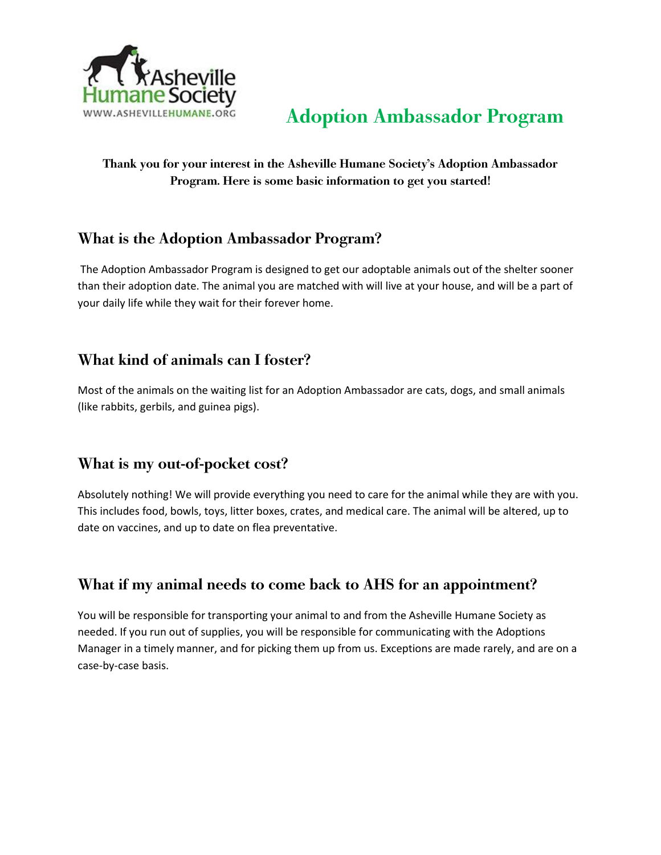

#### Thank you for your interest in the Asheville Humane Society's Adoption Ambassador Program. Here is some basic information to get you started!

#### What is the Adoption Ambassador Program?

The Adoption Ambassador Program is designed to get our adoptable animals out of the shelter sooner than their adoption date. The animal you are matched with will live at your house, and will be a part of your daily life while they wait for their forever home.

#### What kind of animals can I foster?

Most of the animals on the waiting list for an Adoption Ambassador are cats, dogs, and small animals (like rabbits, gerbils, and guinea pigs).

### What is my out-of-pocket cost?

Absolutely nothing! We will provide everything you need to care for the animal while they are with you. This includes food, bowls, toys, litter boxes, crates, and medical care. The animal will be altered, up to date on vaccines, and up to date on flea preventative.

#### What if my animal needs to come back to AHS for an appointment?

You will be responsible for transporting your animal to and from the Asheville Humane Society as needed. If you run out of supplies, you will be responsible for communicating with the Adoptions Manager in a timely manner, and for picking them up from us. Exceptions are made rarely, and are on a case-by-case basis.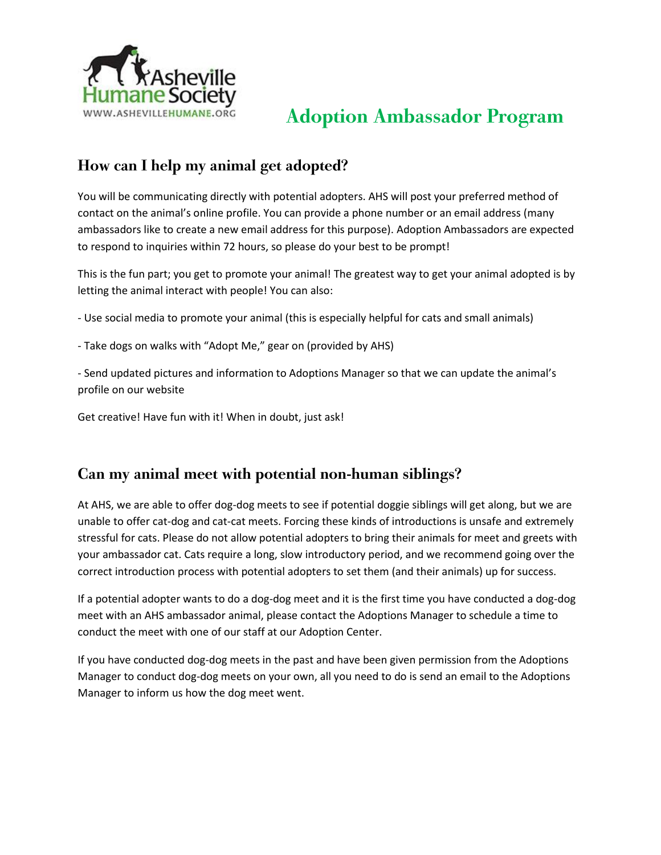

### How can I help my animal get adopted?

You will be communicating directly with potential adopters. AHS will post your preferred method of contact on the animal's online profile. You can provide a phone number or an email address (many ambassadors like to create a new email address for this purpose). Adoption Ambassadors are expected to respond to inquiries within 72 hours, so please do your best to be prompt!

This is the fun part; you get to promote your animal! The greatest way to get your animal adopted is by letting the animal interact with people! You can also:

- Use social media to promote your animal (this is especially helpful for cats and small animals)
- Take dogs on walks with "Adopt Me," gear on (provided by AHS)

- Send updated pictures and information to Adoptions Manager so that we can update the animal's profile on our website

Get creative! Have fun with it! When in doubt, just ask!

#### Can my animal meet with potential non-human siblings?

At AHS, we are able to offer dog-dog meets to see if potential doggie siblings will get along, but we are unable to offer cat-dog and cat-cat meets. Forcing these kinds of introductions is unsafe and extremely stressful for cats. Please do not allow potential adopters to bring their animals for meet and greets with your ambassador cat. Cats require a long, slow introductory period, and we recommend going over the correct introduction process with potential adopters to set them (and their animals) up for success.

If a potential adopter wants to do a dog-dog meet and it is the first time you have conducted a dog-dog meet with an AHS ambassador animal, please contact the Adoptions Manager to schedule a time to conduct the meet with one of our staff at our Adoption Center.

If you have conducted dog-dog meets in the past and have been given permission from the Adoptions Manager to conduct dog-dog meets on your own, all you need to do is send an email to the Adoptions Manager to inform us how the dog meet went.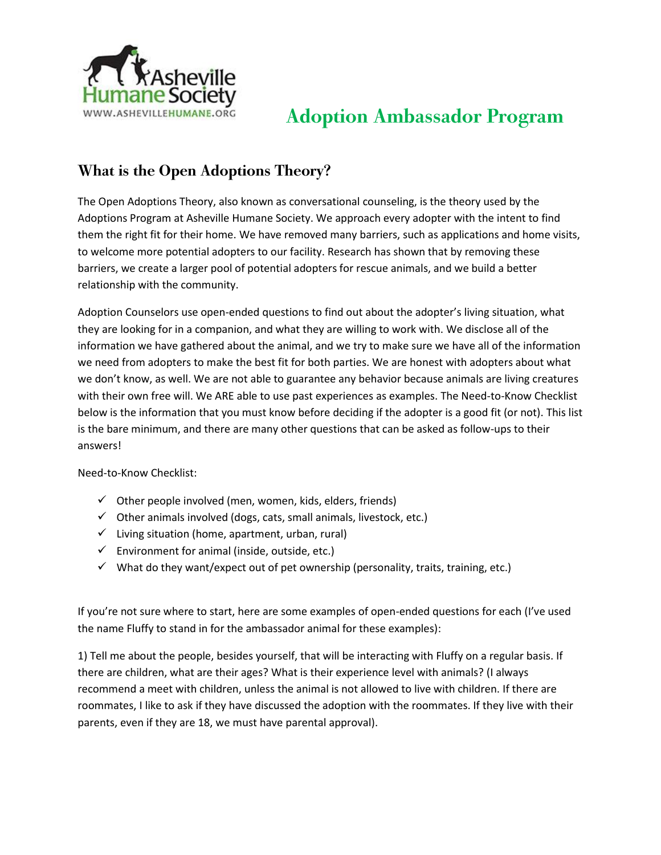

### What is the Open Adoptions Theory?

The Open Adoptions Theory, also known as conversational counseling, is the theory used by the Adoptions Program at Asheville Humane Society. We approach every adopter with the intent to find them the right fit for their home. We have removed many barriers, such as applications and home visits, to welcome more potential adopters to our facility. Research has shown that by removing these barriers, we create a larger pool of potential adopters for rescue animals, and we build a better relationship with the community.

Adoption Counselors use open-ended questions to find out about the adopter's living situation, what they are looking for in a companion, and what they are willing to work with. We disclose all of the information we have gathered about the animal, and we try to make sure we have all of the information we need from adopters to make the best fit for both parties. We are honest with adopters about what we don't know, as well. We are not able to guarantee any behavior because animals are living creatures with their own free will. We ARE able to use past experiences as examples. The Need-to-Know Checklist below is the information that you must know before deciding if the adopter is a good fit (or not). This list is the bare minimum, and there are many other questions that can be asked as follow-ups to their answers!

Need-to-Know Checklist:

- $\checkmark$  Other people involved (men, women, kids, elders, friends)
- $\checkmark$  Other animals involved (dogs, cats, small animals, livestock, etc.)
- $\checkmark$  Living situation (home, apartment, urban, rural)
- $\checkmark$  Environment for animal (inside, outside, etc.)
- $\checkmark$  What do they want/expect out of pet ownership (personality, traits, training, etc.)

If you're not sure where to start, here are some examples of open-ended questions for each (I've used the name Fluffy to stand in for the ambassador animal for these examples):

1) Tell me about the people, besides yourself, that will be interacting with Fluffy on a regular basis. If there are children, what are their ages? What is their experience level with animals? (I always recommend a meet with children, unless the animal is not allowed to live with children. If there are roommates, I like to ask if they have discussed the adoption with the roommates. If they live with their parents, even if they are 18, we must have parental approval).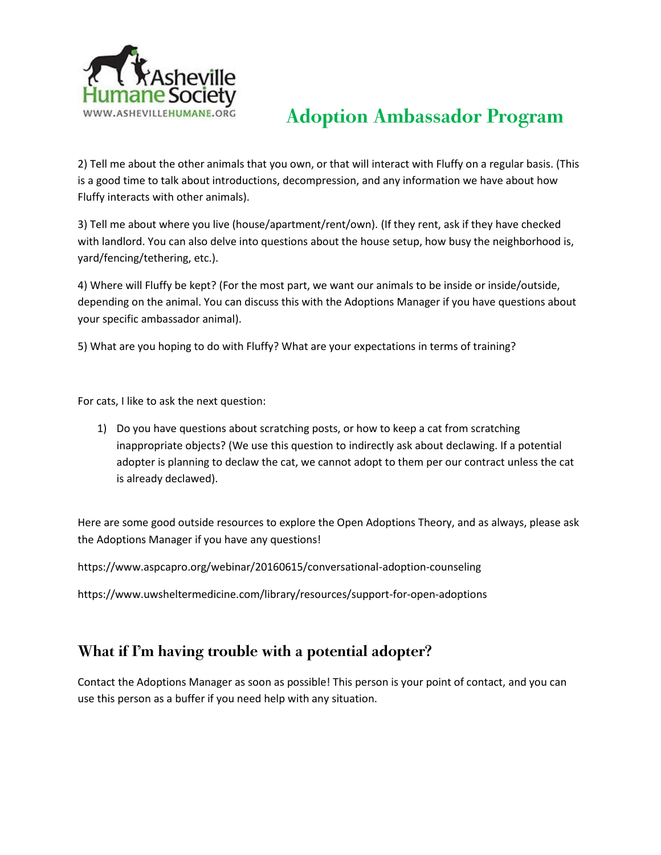

2) Tell me about the other animals that you own, or that will interact with Fluffy on a regular basis. (This is a good time to talk about introductions, decompression, and any information we have about how Fluffy interacts with other animals).

3) Tell me about where you live (house/apartment/rent/own). (If they rent, ask if they have checked with landlord. You can also delve into questions about the house setup, how busy the neighborhood is, yard/fencing/tethering, etc.).

4) Where will Fluffy be kept? (For the most part, we want our animals to be inside or inside/outside, depending on the animal. You can discuss this with the Adoptions Manager if you have questions about your specific ambassador animal).

5) What are you hoping to do with Fluffy? What are your expectations in terms of training?

For cats, I like to ask the next question:

1) Do you have questions about scratching posts, or how to keep a cat from scratching inappropriate objects? (We use this question to indirectly ask about declawing. If a potential adopter is planning to declaw the cat, we cannot adopt to them per our contract unless the cat is already declawed).

Here are some good outside resources to explore the Open Adoptions Theory, and as always, please ask the Adoptions Manager if you have any questions!

https://www.aspcapro.org/webinar/20160615/conversational-adoption-counseling

https://www.uwsheltermedicine.com/library/resources/support-for-open-adoptions

#### What if I'm having trouble with a potential adopter?

Contact the Adoptions Manager as soon as possible! This person is your point of contact, and you can use this person as a buffer if you need help with any situation.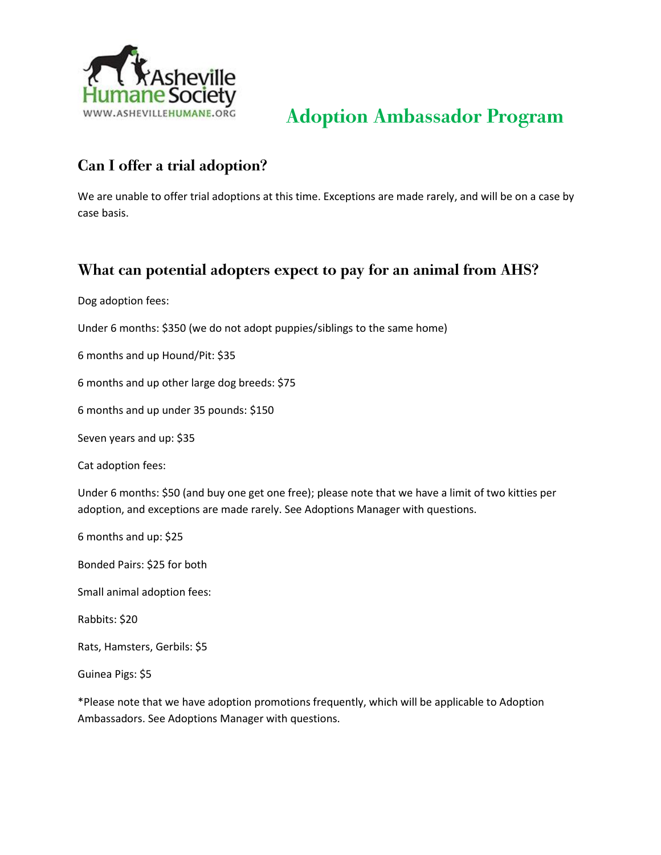

### Can I offer a trial adoption?

We are unable to offer trial adoptions at this time. Exceptions are made rarely, and will be on a case by case basis.

### What can potential adopters expect to pay for an animal from AHS?

Dog adoption fees:

Under 6 months: \$350 (we do not adopt puppies/siblings to the same home)

6 months and up Hound/Pit: \$35

6 months and up other large dog breeds: \$75

6 months and up under 35 pounds: \$150

Seven years and up: \$35

Cat adoption fees:

Under 6 months: \$50 (and buy one get one free); please note that we have a limit of two kitties per adoption, and exceptions are made rarely. See Adoptions Manager with questions.

6 months and up: \$25

Bonded Pairs: \$25 for both

Small animal adoption fees:

Rabbits: \$20

Rats, Hamsters, Gerbils: \$5

Guinea Pigs: \$5

\*Please note that we have adoption promotions frequently, which will be applicable to Adoption Ambassadors. See Adoptions Manager with questions.